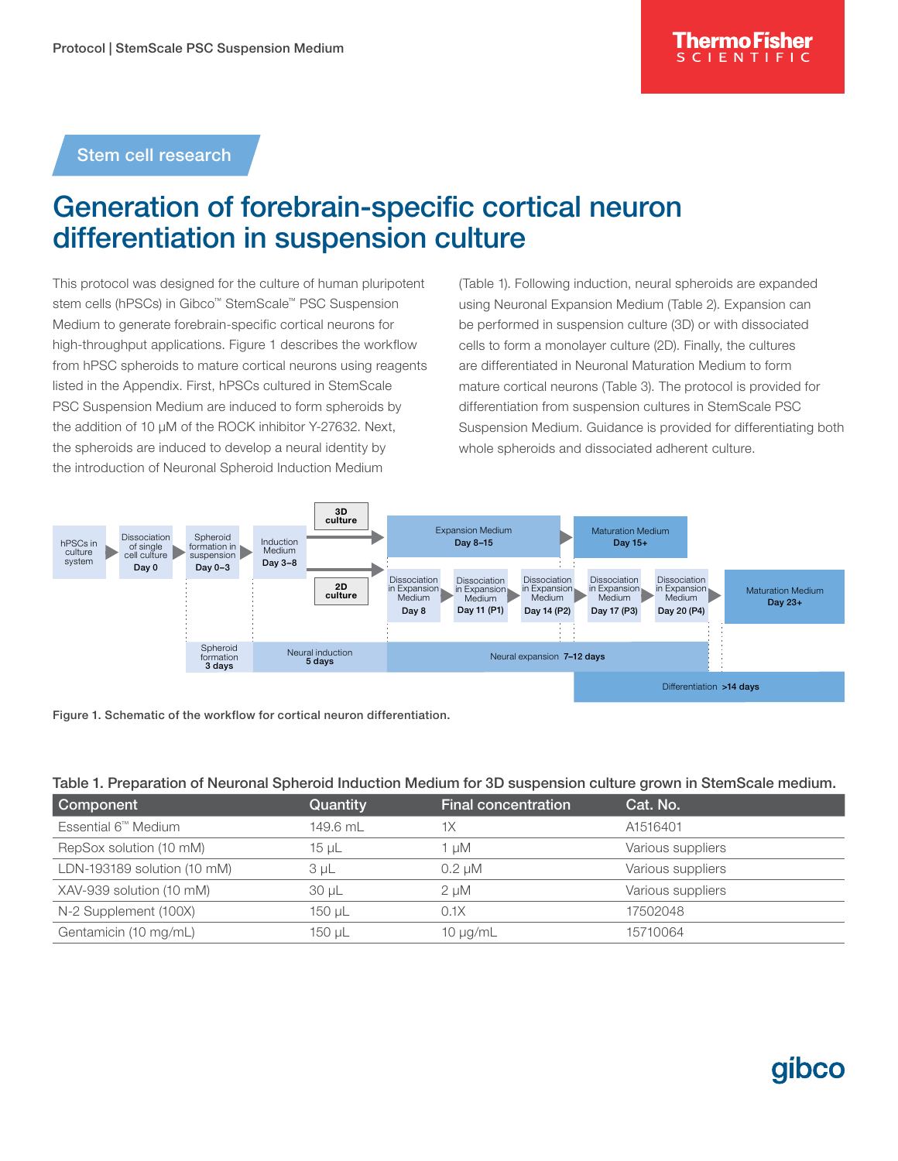## Stem cell research

## Generation of forebrain-specific cortical neuron differentiation in suspension culture

This protocol was designed for the culture of human pluripotent stem cells (hPSCs) in Gibco™ StemScale™ PSC Suspension Medium to generate forebrain-specific cortical neurons for high-throughput applications. Figure 1 describes the workflow from hPSC spheroids to mature cortical neurons using reagents listed in the Appendix. First, hPSCs cultured in StemScale PSC Suspension Medium are induced to form spheroids by the addition of 10 µM of the ROCK inhibitor Y-27632. Next, the spheroids are induced to develop a neural identity by the introduction of Neuronal Spheroid Induction Medium

(Table 1). Following induction, neural spheroids are expanded using Neuronal Expansion Medium (Table 2). Expansion can be performed in suspension culture (3D) or with dissociated cells to form a monolayer culture (2D). Finally, the cultures are differentiated in Neuronal Maturation Medium to form mature cortical neurons (Table 3). The protocol is provided for differentiation from suspension cultures in StemScale PSC Suspension Medium. Guidance is provided for differentiating both whole spheroids and dissociated adherent culture.





#### Table 1. Preparation of Neuronal Spheroid Induction Medium for 3D suspension culture grown in StemScale medium.

| Component                       | Quantity   | <b>Final concentration</b> | Cat. No.          |
|---------------------------------|------------|----------------------------|-------------------|
| Essential 6 <sup>™</sup> Medium | 149.6 ml   | 1X                         | A1516401          |
| RepSox solution (10 mM)         | 15 µL      | 1 uM                       | Various suppliers |
| LDN-193189 solution (10 mM)     | 3 µL       | $0.2 \mu M$                | Various suppliers |
| XAV-939 solution (10 mM)        | $30 \mu L$ | 2 uM                       | Various suppliers |
| N-2 Supplement (100X)           | 150 µL     | 0.1X                       | 17502048          |
| Gentamicin (10 mg/mL)           | 150 µL     | $10 \mu g/mL$              | 15710064          |

# **GIDCO**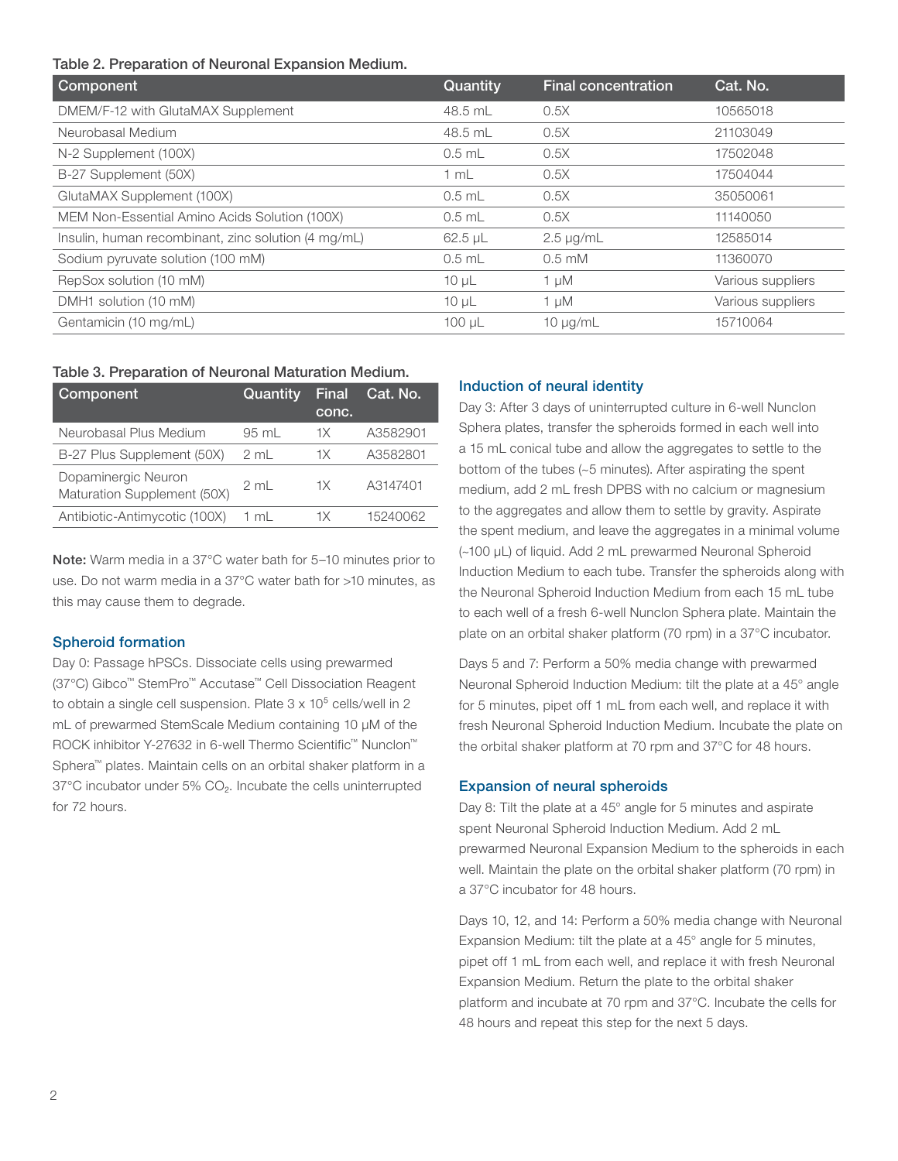Table 2. Preparation of Neuronal Expansion Medium.

| <b>Component</b>                                    | Quantity    | <b>Final concentration</b> | Cat. No.          |
|-----------------------------------------------------|-------------|----------------------------|-------------------|
| DMEM/F-12 with GlutaMAX Supplement                  | 48.5 mL     | 0.5X                       | 10565018          |
| Neurobasal Medium                                   | 48.5 mL     | 0.5X                       | 21103049          |
| N-2 Supplement (100X)                               | $0.5$ mL    | 0.5X                       | 17502048          |
| B-27 Supplement (50X)                               | 1 mL        | 0.5X                       | 17504044          |
| GlutaMAX Supplement (100X)                          | $0.5$ mL    | 0.5X                       | 35050061          |
| MEM Non-Essential Amino Acids Solution (100X)       | $0.5$ mL    | 0.5X                       | 11140050          |
| Insulin, human recombinant, zinc solution (4 mg/mL) | $62.5$ µL   | $2.5 \mu g/mL$             | 12585014          |
| Sodium pyruvate solution (100 mM)                   | $0.5$ mL    | $0.5 \text{ mM}$           | 11360070          |
| RepSox solution (10 mM)                             | $10 \mu L$  | 1 µM                       | Various suppliers |
| DMH1 solution (10 mM)                               | $10 \mu L$  | 1 µM                       | Various suppliers |
| Gentamicin (10 mg/mL)                               | $100 \mu L$ | $10 \mu q/mL$              | 15710064          |

#### Table 3. Preparation of Neuronal Maturation Medium.

| Component                                          | Quantity        | Final<br>conc. | Cat. No. |
|----------------------------------------------------|-----------------|----------------|----------|
| Neurobasal Plus Medium                             | $95 \text{ ml}$ | 1X             | A3582901 |
| B-27 Plus Supplement (50X)                         | $2 \text{ ml}$  | 1X             | A3582801 |
| Dopaminergic Neuron<br>Maturation Supplement (50X) | 2 mL            | 1Х             | A3147401 |
| Antibiotic-Antimycotic (100X)                      | 1 ml            | 1Х             | 15240062 |

Note: Warm media in a 37°C water bath for 5–10 minutes prior to use. Do not warm media in a 37°C water bath for >10 minutes, as this may cause them to degrade.

### Spheroid formation

Day 0: Passage hPSCs. Dissociate cells using prewarmed (37°C) Gibco™ StemPro™ Accutase™ Cell Dissociation Reagent to obtain a single cell suspension. Plate  $3 \times 10^5$  cells/well in 2 mL of prewarmed StemScale Medium containing 10 uM of the ROCK inhibitor Y-27632 in 6-well Thermo Scientific™ Nunclon™ Sphera™ plates. Maintain cells on an orbital shaker platform in a 37°C incubator under 5% CO<sub>2</sub>. Incubate the cells uninterrupted for 72 hours.

### Induction of neural identity

Day 3: After 3 days of uninterrupted culture in 6-well Nunclon Sphera plates, transfer the spheroids formed in each well into a 15 mL conical tube and allow the aggregates to settle to the bottom of the tubes (~5 minutes). After aspirating the spent medium, add 2 mL fresh DPBS with no calcium or magnesium to the aggregates and allow them to settle by gravity. Aspirate the spent medium, and leave the aggregates in a minimal volume (~100 μL) of liquid. Add 2 mL prewarmed Neuronal Spheroid Induction Medium to each tube. Transfer the spheroids along with the Neuronal Spheroid Induction Medium from each 15 mL tube to each well of a fresh 6-well Nunclon Sphera plate. Maintain the plate on an orbital shaker platform (70 rpm) in a 37°C incubator.

Days 5 and 7: Perform a 50% media change with prewarmed Neuronal Spheroid Induction Medium: tilt the plate at a 45° angle for 5 minutes, pipet off 1 mL from each well, and replace it with fresh Neuronal Spheroid Induction Medium. Incubate the plate on the orbital shaker platform at 70 rpm and 37°C for 48 hours.

#### Expansion of neural spheroids

Day 8: Tilt the plate at a 45° angle for 5 minutes and aspirate spent Neuronal Spheroid Induction Medium. Add 2 mL prewarmed Neuronal Expansion Medium to the spheroids in each well. Maintain the plate on the orbital shaker platform (70 rpm) in a 37°C incubator for 48 hours.

Days 10, 12, and 14: Perform a 50% media change with Neuronal Expansion Medium: tilt the plate at a 45° angle for 5 minutes, pipet off 1 mL from each well, and replace it with fresh Neuronal Expansion Medium. Return the plate to the orbital shaker platform and incubate at 70 rpm and 37°C. Incubate the cells for 48 hours and repeat this step for the next 5 days.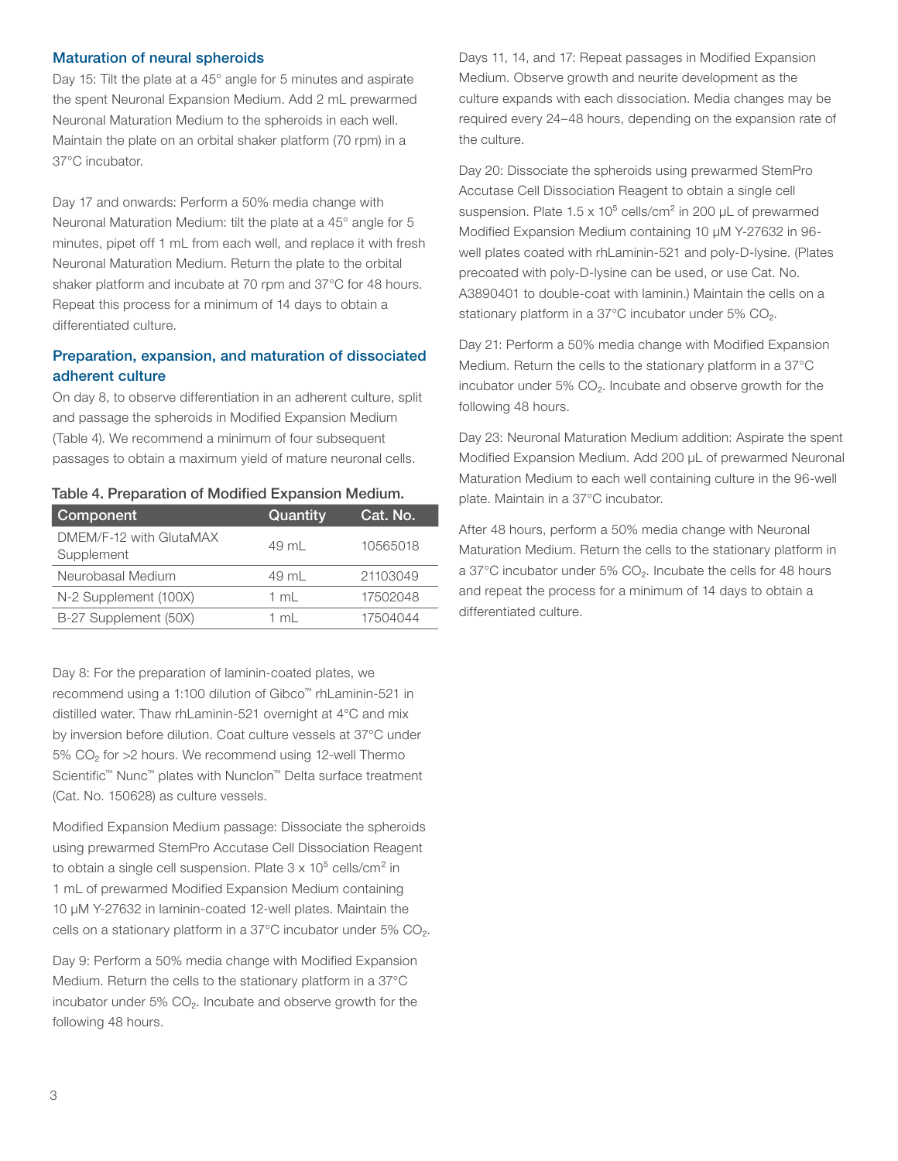#### Maturation of neural spheroids

Day 15: Tilt the plate at a 45° angle for 5 minutes and aspirate the spent Neuronal Expansion Medium. Add 2 mL prewarmed Neuronal Maturation Medium to the spheroids in each well. Maintain the plate on an orbital shaker platform (70 rpm) in a 37°C incubator.

Day 17 and onwards: Perform a 50% media change with Neuronal Maturation Medium: tilt the plate at a 45° angle for 5 minutes, pipet off 1 mL from each well, and replace it with fresh Neuronal Maturation Medium. Return the plate to the orbital shaker platform and incubate at 70 rpm and 37°C for 48 hours. Repeat this process for a minimum of 14 days to obtain a differentiated culture.

## Preparation, expansion, and maturation of dissociated adherent culture

On day 8, to observe differentiation in an adherent culture, split and passage the spheroids in Modified Expansion Medium (Table 4). We recommend a minimum of four subsequent passages to obtain a maximum yield of mature neuronal cells.

|  | Table 4. Preparation of Modified Expansion Medium. |  |
|--|----------------------------------------------------|--|
|  |                                                    |  |

| Component                             | Quantity | Cat. No. |
|---------------------------------------|----------|----------|
| DMEM/F-12 with GlutaMAX<br>Supplement | 49 ml    | 10565018 |
| Neurobasal Medium                     | 49 ml    | 21103049 |
| N-2 Supplement (100X)                 | 1 ml     | 17502048 |
| B-27 Supplement (50X)                 | 1 ml     | 17504044 |

Day 8: For the preparation of laminin-coated plates, we recommend using a 1:100 dilution of Gibco™ rhLaminin-521 in distilled water. Thaw rhLaminin-521 overnight at 4°C and mix by inversion before dilution. Coat culture vessels at 37°C under 5% CO<sub>2</sub> for >2 hours. We recommend using 12-well Thermo Scientific™ Nunc™ plates with Nunclon™ Delta surface treatment (Cat. No. 150628) as culture vessels.

Modified Expansion Medium passage: Dissociate the spheroids using prewarmed StemPro Accutase Cell Dissociation Reagent to obtain a single cell suspension. Plate  $3 \times 10^5$  cells/cm<sup>2</sup> in 1 mL of prewarmed Modified Expansion Medium containing 10 µM Y-27632 in laminin-coated 12-well plates. Maintain the cells on a stationary platform in a 37°C incubator under 5% CO₂.

Day 9: Perform a 50% media change with Modified Expansion Medium. Return the cells to the stationary platform in a 37°C incubator under 5% CO₂. Incubate and observe growth for the following 48 hours.

Days 11, 14, and 17: Repeat passages in Modified Expansion Medium. Observe growth and neurite development as the culture expands with each dissociation. Media changes may be required every 24–48 hours, depending on the expansion rate of the culture.

Day 20: Dissociate the spheroids using prewarmed StemPro Accutase Cell Dissociation Reagent to obtain a single cell suspension. Plate  $1.5 \times 10^5$  cells/cm<sup>2</sup> in 200  $\mu$ L of prewarmed Modified Expansion Medium containing 10 µM Y-27632 in 96 well plates coated with rhLaminin-521 and poly-D-lysine. (Plates precoated with poly-D-lysine can be used, or use Cat. No. A3890401 to double-coat with laminin.) Maintain the cells on a stationary platform in a 37°C incubator under 5% CO<sub>2</sub>.

Day 21: Perform a 50% media change with Modified Expansion Medium. Return the cells to the stationary platform in a 37°C incubator under 5% CO₂. Incubate and observe growth for the following 48 hours.

Day 23: Neuronal Maturation Medium addition: Aspirate the spent Modified Expansion Medium. Add 200 µL of prewarmed Neuronal Maturation Medium to each well containing culture in the 96-well plate. Maintain in a 37°C incubator.

After 48 hours, perform a 50% media change with Neuronal Maturation Medium. Return the cells to the stationary platform in a 37°C incubator under 5% CO<sub>2</sub>. Incubate the cells for 48 hours and repeat the process for a minimum of 14 days to obtain a differentiated culture.